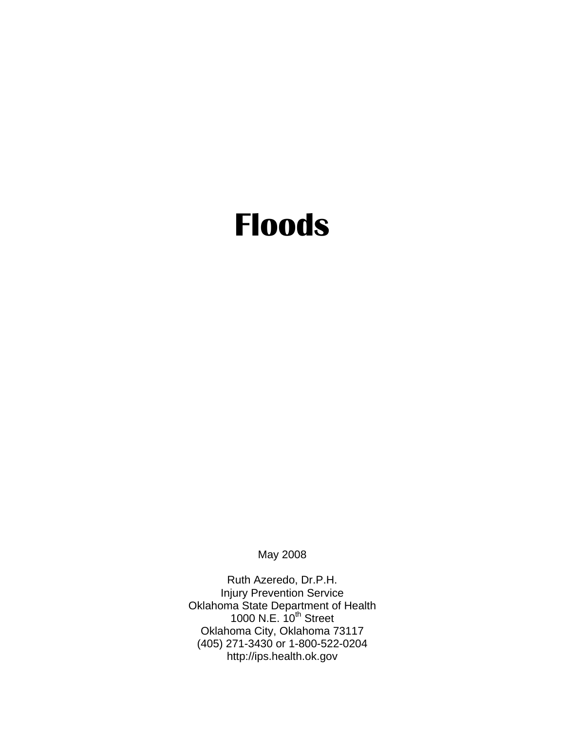# **Floods**

May 2008

Ruth Azeredo, Dr.P.H. Injury Prevention Service Oklahoma State Department of Health 1000 N.E.  $10^{th}$  Street Oklahoma City, Oklahoma 73117 (405) 271-3430 or 1-800-522-0204 http://ips.health.ok.gov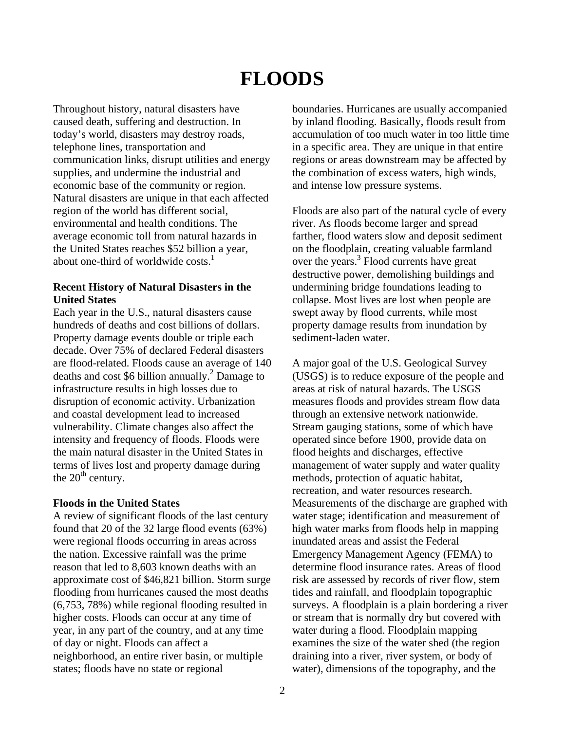# **FLOODS**

Throughout history, natural disasters have caused death, suffering and destruction. In today's world, disasters may destroy roads, telephone lines, transportation and communication links, disrupt utilities and energy supplies, and undermine the industrial and economic base of the community or region. Natural disasters are unique in that each affected region of the world has different social, environmental and health conditions. The average economic toll from natural hazards in the United States reaches \$52 billion a year, about one-third of worldwide  $costs<sup>1</sup>$ .

#### **Recent History of Natural Disasters in the United States**

Each year in the U.S., natural disasters cause hundreds of deaths and cost billions of dollars. Property damage events double or triple each decade. Over 75% of declared Federal disasters are flood-related. Floods cause an average of 140 deaths and cost \$6 billion annually.<sup>2</sup> Damage to infrastructure results in high losses due to disruption of economic activity. Urbanization and coastal development lead to increased vulnerability. Climate changes also affect the intensity and frequency of floods. Floods were the main natural disaster in the United States in terms of lives lost and property damage during the  $20<sup>th</sup>$  century.

#### **Floods in the United States**

A review of significant floods of the last century found that 20 of the 32 large flood events (63%) were regional floods occurring in areas across the nation. Excessive rainfall was the prime reason that led to 8,603 known deaths with an approximate cost of \$46,821 billion. Storm surge flooding from hurricanes caused the most deaths (6,753, 78%) while regional flooding resulted in higher costs. Floods can occur at any time of year, in any part of the country, and at any time of day or night. Floods can affect a neighborhood, an entire river basin, or multiple states; floods have no state or regional

boundaries. Hurricanes are usually accompanied by inland flooding. Basically, floods result from accumulation of too much water in too little time in a specific area. They are unique in that entire regions or areas downstream may be affected by the combination of excess waters, high winds, and intense low pressure systems.

Floods are also part of the natural cycle of every river. As floods become larger and spread farther, flood waters slow and deposit sediment on the floodplain, creating valuable farmland over the years.<sup>3</sup> Flood currents have great destructive power, demolishing buildings and undermining bridge foundations leading to collapse. Most lives are lost when people are swept away by flood currents, while most property damage results from inundation by sediment-laden water.

A major goal of the U.S. Geological Survey (USGS) is to reduce exposure of the people and areas at risk of natural hazards. The USGS measures floods and provides stream flow data through an extensive network nationwide. Stream gauging stations, some of which have operated since before 1900, provide data on flood heights and discharges, effective management of water supply and water quality methods, protection of aquatic habitat, recreation, and water resources research. Measurements of the discharge are graphed with water stage; identification and measurement of high water marks from floods help in mapping inundated areas and assist the Federal Emergency Management Agency (FEMA) to determine flood insurance rates. Areas of flood risk are assessed by records of river flow, stem tides and rainfall, and floodplain topographic surveys. A floodplain is a plain bordering a river or stream that is normally dry but covered with water during a flood. Floodplain mapping examines the size of the water shed (the region draining into a river, river system, or body of water), dimensions of the topography, and the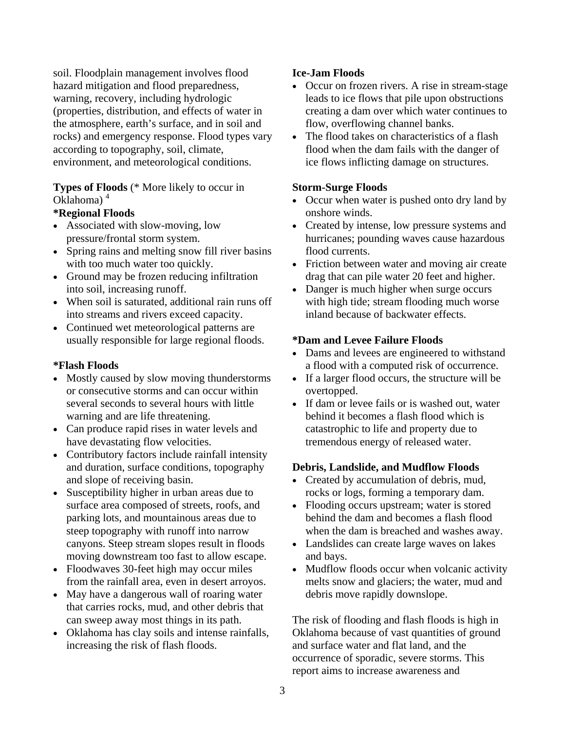soil. Floodplain management involves flood hazard mitigation and flood preparedness, warning, recovery, including hydrologic (properties, distribution, and effects of water in the atmosphere, earth's surface, and in soil and rocks) and emergency response. Flood types vary according to topography, soil, climate, environment, and meteorological conditions.

# **Types of Floods** (\* More likely to occur in Oklahoma) <sup>4</sup>

# **\*Regional Floods**

- Associated with slow-moving, low pressure/frontal storm system.
- Spring rains and melting snow fill river basins with too much water too quickly.
- Ground may be frozen reducing infiltration into soil, increasing runoff.
- When soil is saturated, additional rain runs off into streams and rivers exceed capacity.
- Continued wet meteorological patterns are usually responsible for large regional floods.

# **\*Flash Floods**

- Mostly caused by slow moving thunderstorms or consecutive storms and can occur within several seconds to several hours with little warning and are life threatening.
- Can produce rapid rises in water levels and have devastating flow velocities.
- Contributory factors include rainfall intensity and duration, surface conditions, topography and slope of receiving basin.
- Susceptibility higher in urban areas due to surface area composed of streets, roofs, and parking lots, and mountainous areas due to steep topography with runoff into narrow canyons. Steep stream slopes result in floods moving downstream too fast to allow escape.
- Floodwaves 30-feet high may occur miles from the rainfall area, even in desert arroyos.
- May have a dangerous wall of roaring water that carries rocks, mud, and other debris that can sweep away most things in its path.
- Oklahoma has clay soils and intense rainfalls, increasing the risk of flash floods.

# **Ice-Jam Floods**

- Occur on frozen rivers. A rise in stream-stage leads to ice flows that pile upon obstructions creating a dam over which water continues to flow, overflowing channel banks.
- The flood takes on characteristics of a flash flood when the dam fails with the danger of ice flows inflicting damage on structures.

# **Storm-Surge Floods**

- Occur when water is pushed onto dry land by onshore winds.
- Created by intense, low pressure systems and hurricanes; pounding waves cause hazardous flood currents.
- Friction between water and moving air create drag that can pile water 20 feet and higher.
- Danger is much higher when surge occurs with high tide; stream flooding much worse inland because of backwater effects.

# **\*Dam and Levee Failure Floods**

- Dams and levees are engineered to withstand a flood with a computed risk of occurrence.
- If a larger flood occurs, the structure will be overtopped.
- If dam or levee fails or is washed out, water behind it becomes a flash flood which is catastrophic to life and property due to tremendous energy of released water.

# **Debris, Landslide, and Mudflow Floods**

- Created by accumulation of debris, mud, rocks or logs, forming a temporary dam.
- Flooding occurs upstream; water is stored behind the dam and becomes a flash flood when the dam is breached and washes away.
- Landslides can create large waves on lakes and bays.
- Mudflow floods occur when volcanic activity melts snow and glaciers; the water, mud and debris move rapidly downslope.

The risk of flooding and flash floods is high in Oklahoma because of vast quantities of ground and surface water and flat land, and the occurrence of sporadic, severe storms. This report aims to increase awareness and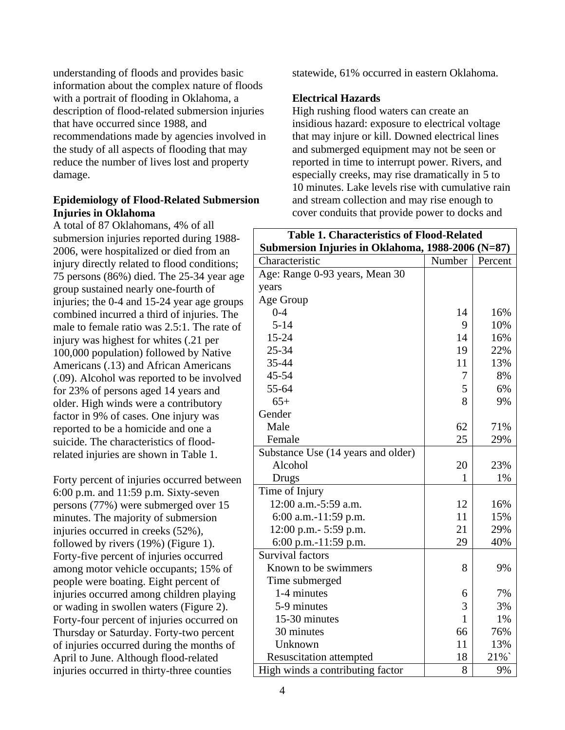understanding of floods and provides basic information about the complex nature of floods with a portrait of flooding in Oklahoma, a description of flood-related submersion injuries that have occurred since 1988, and recommendations made by agencies involved in the study of all aspects of flooding that may reduce the number of lives lost and property damage.

#### **Epidemiology of Flood-Related Submersion Injuries in Oklahoma**

A total of 87 Oklahomans, 4% of all submersion injuries reported during 1988 2006, were hospitalized or died from an injury directly related to flood conditions; 75 persons (86%) died. The 25-34 year age group sustained nearly one-fourth of injuries; the 0-4 and 15-24 year age groups combined incurred a third of injuries. The male to female ratio was 2.5:1. The rate of injury was highest for whites (.21 per 100,000 population) followed by Native Americans (.13) and African Americans (.09). Alcohol was reported to be involved for 23% of persons aged 14 years and older. High winds were a contributory factor in 9% of cases. One injury was reported to be a homicide and one a suicide. The characteristics of floodrelated injuries are shown in Table 1.

Forty percent of injuries occurred between 6:00 p.m. and 11:59 p.m. Sixty-seven persons (77%) were submerged over 15 minutes. The majority of submersion injuries occurred in creeks (52%), followed by rivers (19%) (Figure 1). Forty-five percent of injuries occurred among motor vehicle occupants; 15% of people were boating. Eight percent of injuries occurred among children playing or wading in swollen waters (Figure 2). Forty-four percent of injuries occurred on Thursday or Saturday. Forty-two percent of injuries occurred during the months of April to June. Although flood-related injuries occurred in thirty-three counties

statewide, 61% occurred in eastern Oklahoma.

### **Electrical Hazards**

High rushing flood waters can create an insidious hazard: exposure to electrical voltage that may injure or kill. Downed electrical lines and submerged equipment may not be seen or reported in time to interrupt power. Rivers, and especially creeks, may rise dramatically in 5 to 10 minutes. Lake levels rise with cumulative rain and stream collection and may rise enough to cover conduits that provide power to docks and

| <b>Table 1. Characteristics of Flood-Related</b>  |              |         |
|---------------------------------------------------|--------------|---------|
| Submersion Injuries in Oklahoma, 1988-2006 (N=87) |              |         |
| Characteristic                                    | Number       | Percent |
| Age: Range 0-93 years, Mean 30                    |              |         |
| years                                             |              |         |
| Age Group                                         |              |         |
| $0 - 4$                                           | 14           | 16%     |
| $5 - 14$                                          | 9            | 10%     |
| 15-24                                             | 14           | 16%     |
| 25-34                                             | 19           | 22%     |
| 35-44                                             | 11           | 13%     |
| 45-54                                             | 7            | 8%      |
| 55-64                                             | 5            | 6%      |
| $65+$                                             | 8            | 9%      |
| Gender                                            |              |         |
| Male                                              | 62           | 71%     |
| Female                                            | 25           | 29%     |
| Substance Use (14 years and older)                |              |         |
| Alcohol                                           | 20           | 23%     |
| Drugs                                             | $\mathbf{1}$ | 1%      |
| Time of Injury                                    |              |         |
| 12:00 a.m.-5:59 a.m.                              | 12           | 16%     |
| 6:00 a.m.-11:59 p.m.                              | 11           | 15%     |
| 12:00 p.m.- 5:59 p.m.                             | 21           | 29%     |
| 6:00 p.m.-11:59 p.m.                              | 29           | 40%     |
| <b>Survival factors</b>                           |              |         |
| Known to be swimmers                              | 8            | 9%      |
| Time submerged                                    |              |         |
| 1-4 minutes                                       | 6            | 7%      |
| 5-9 minutes                                       | 3            | 3%      |
| 15-30 minutes                                     | $\mathbf{1}$ | 1%      |
| 30 minutes                                        | 66           | 76%     |
| Unknown                                           | 11           | 13%     |
| <b>Resuscitation attempted</b>                    | 18           | 21%`    |
| High winds a contributing factor                  | 8            | 9%      |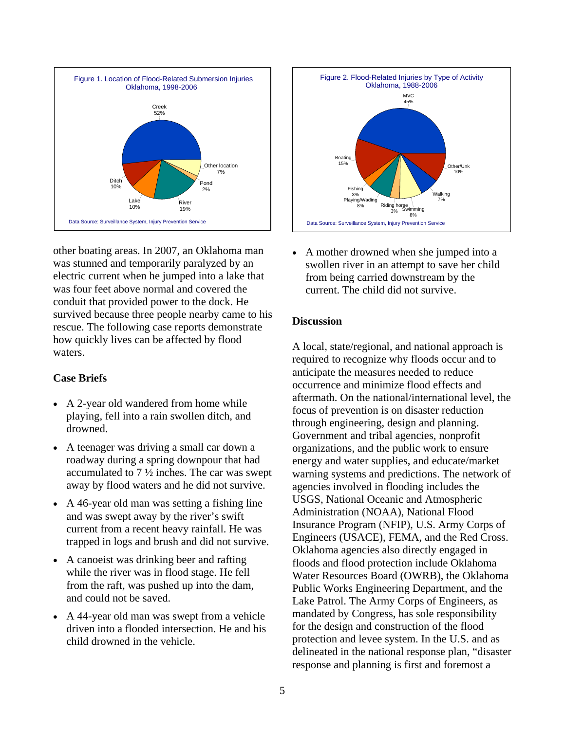

other boating areas. In 2007, an Oklahoma man was stunned and temporarily paralyzed by an electric current when he jumped into a lake that was four feet above normal and covered the conduit that provided power to the dock. He survived because three people nearby came to his rescue. The following case reports demonstrate how quickly lives can be affected by flood waters.

#### **Case Briefs**

- A 2-year old wandered from home while playing, fell into a rain swollen ditch, and drowned.
- A teenager was driving a small car down a roadway during a spring downpour that had accumulated to 7 ½ inches. The car was swept away by flood waters and he did not survive.
- A 46-year old man was setting a fishing line and was swept away by the river's swift current from a recent heavy rainfall. He was trapped in logs and brush and did not survive.
- A canoeist was drinking beer and rafting while the river was in flood stage. He fell from the raft, was pushed up into the dam, and could not be saved.
- A 44-year old man was swept from a vehicle driven into a flooded intersection. He and his child drowned in the vehicle.



• A mother drowned when she jumped into a swollen river in an attempt to save her child from being carried downstream by the current. The child did not survive.

#### **Discussion**

A local, state/regional, and national approach is required to recognize why floods occur and to anticipate the measures needed to reduce occurrence and minimize flood effects and aftermath. On the national/international level, the focus of prevention is on disaster reduction through engineering, design and planning. Government and tribal agencies, nonprofit organizations, and the public work to ensure energy and water supplies, and educate/market warning systems and predictions. The network of agencies involved in flooding includes the USGS, National Oceanic and Atmospheric Administration (NOAA), National Flood Insurance Program (NFIP), U.S. Army Corps of Engineers (USACE), FEMA, and the Red Cross. Oklahoma agencies also directly engaged in floods and flood protection include Oklahoma Water Resources Board (OWRB), the Oklahoma Public Works Engineering Department, and the Lake Patrol. The Army Corps of Engineers, as mandated by Congress, has sole responsibility for the design and construction of the flood protection and levee system. In the U.S. and as delineated in the national response plan, "disaster response and planning is first and foremost a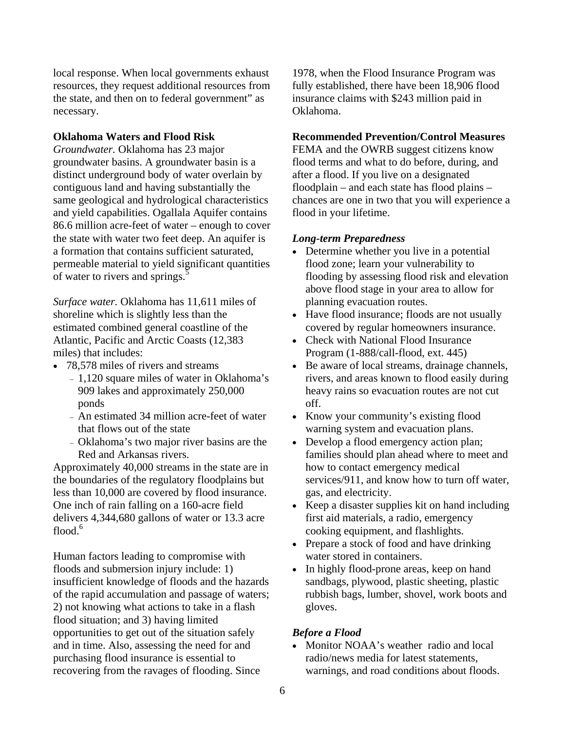local response. When local governments exhaust resources, they request additional resources from the state, and then on to federal government" as necessary.

#### **Oklahoma Waters and Flood Risk**

*Groundwater.* Oklahoma has 23 major groundwater basins. A groundwater basin is a distinct underground body of water overlain by contiguous land and having substantially the same geological and hydrological characteristics and yield capabilities. Ogallala Aquifer contains 86.6 million acre-feet of water – enough to cover the state with water two feet deep. An aquifer is a formation that contains sufficient saturated, permeable material to yield significant quantities of water to rivers and springs.<sup>5</sup>

*Surface water.* Oklahoma has 11,611 miles of shoreline which is slightly less than the estimated combined general coastline of the Atlantic, Pacific and Arctic Coasts (12,383 miles) that includes:

- 78,578 miles of rivers and streams
	- <sup>−</sup>1,120 square miles of water in Oklahoma's 909 lakes and approximately 250,000 ponds
	- <sup>−</sup>An estimated 34 million acre-feet of water that flows out of the state
	- <sup>−</sup>Oklahoma's two major river basins are the Red and Arkansas rivers.

Approximately 40,000 streams in the state are in the boundaries of the regulatory floodplains but less than 10,000 are covered by flood insurance. One inch of rain falling on a 160-acre field delivers 4,344,680 gallons of water or 13.3 acre flood. $6$ 

Human factors leading to compromise with floods and submersion injury include: 1) insufficient knowledge of floods and the hazards of the rapid accumulation and passage of waters; 2) not knowing what actions to take in a flash flood situation; and 3) having limited opportunities to get out of the situation safely and in time. Also, assessing the need for and purchasing flood insurance is essential to recovering from the ravages of flooding. Since

1978, when the Flood Insurance Program was fully established, there have been 18,906 flood insurance claims with \$243 million paid in Oklahoma.

#### **Recommended Prevention/Control Measures**

FEMA and the OWRB suggest citizens know flood terms and what to do before, during, and after a flood. If you live on a designated floodplain – and each state has flood plains – chances are one in two that you will experience a flood in your lifetime.

#### *Long-term Preparedness*

- Determine whether you live in a potential flood zone; learn your vulnerability to flooding by assessing flood risk and elevation above flood stage in your area to allow for planning evacuation routes.
- Have flood insurance; floods are not usually covered by regular homeowners insurance.
- Check with National Flood Insurance Program (1-888/call-flood, ext. 445)
- Be aware of local streams, drainage channels, rivers, and areas known to flood easily during heavy rains so evacuation routes are not cut off.
- Know your community's existing flood warning system and evacuation plans.
- Develop a flood emergency action plan; families should plan ahead where to meet and how to contact emergency medical services/911, and know how to turn off water, gas, and electricity.
- Keep a disaster supplies kit on hand including first aid materials, a radio, emergency cooking equipment, and flashlights.
- Prepare a stock of food and have drinking water stored in containers.
- In highly flood-prone areas, keep on hand sandbags, plywood, plastic sheeting, plastic rubbish bags, lumber, shovel, work boots and gloves.

#### *Before a Flood*

• Monitor NOAA's weather radio and local radio/news media for latest statements, warnings, and road conditions about floods.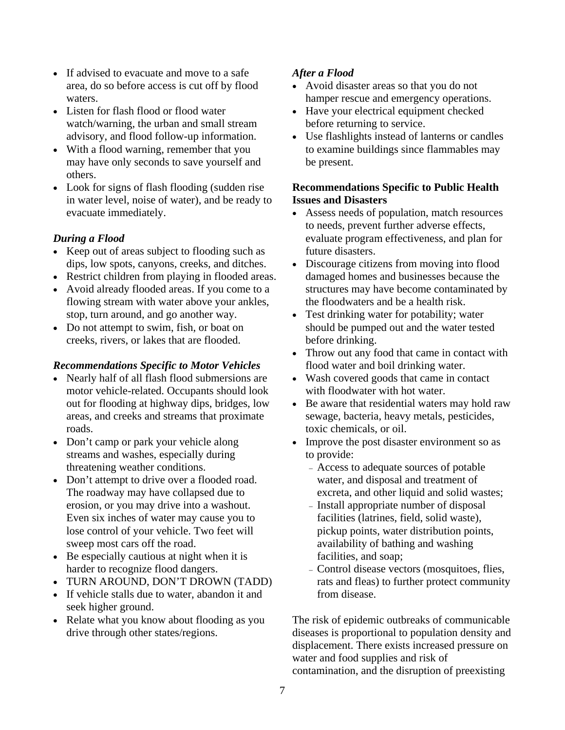- If advised to evacuate and move to a safe area, do so before access is cut off by flood waters.
- Listen for flash flood or flood water watch/warning, the urban and small stream advisory, and flood follow-up information.
- With a flood warning, remember that you may have only seconds to save yourself and others.
- Look for signs of flash flooding (sudden rise in water level, noise of water), and be ready to evacuate immediately.

# *During a Flood*

- Keep out of areas subject to flooding such as dips, low spots, canyons, creeks, and ditches.
- Restrict children from playing in flooded areas.
- Avoid already flooded areas. If you come to a flowing stream with water above your ankles, stop, turn around, and go another way.
- Do not attempt to swim, fish, or boat on creeks, rivers, or lakes that are flooded.

# *Recommendations Specific to Motor Vehicles*

- Nearly half of all flash flood submersions are motor vehicle-related. Occupants should look out for flooding at highway dips, bridges, low areas, and creeks and streams that proximate roads.
- Don't camp or park your vehicle along streams and washes, especially during threatening weather conditions.
- Don't attempt to drive over a flooded road. The roadway may have collapsed due to erosion, or you may drive into a washout. Even six inches of water may cause you to lose control of your vehicle. Two feet will sweep most cars off the road.
- Be especially cautious at night when it is harder to recognize flood dangers.
- TURN AROUND, DON'T DROWN (TADD)
- If vehicle stalls due to water, abandon it and seek higher ground.
- Relate what you know about flooding as you drive through other states/regions.

# *After a Flood*

- Avoid disaster areas so that you do not hamper rescue and emergency operations.
- Have your electrical equipment checked before returning to service.
- Use flashlights instead of lanterns or candles to examine buildings since flammables may be present.

# **Recommendations Specific to Public Health Issues and Disasters**

- Assess needs of population, match resources to needs, prevent further adverse effects, evaluate program effectiveness, and plan for future disasters.
- Discourage citizens from moving into flood damaged homes and businesses because the structures may have become contaminated by the floodwaters and be a health risk.
- Test drinking water for potability; water should be pumped out and the water tested before drinking.
- Throw out any food that came in contact with flood water and boil drinking water.
- Wash covered goods that came in contact with floodwater with hot water.
- Be aware that residential waters may hold raw sewage, bacteria, heavy metals, pesticides, toxic chemicals, or oil.
- Improve the post disaster environment so as to provide:
	- <sup>−</sup>Access to adequate sources of potable water, and disposal and treatment of excreta, and other liquid and solid wastes;
	- <sup>−</sup>Install appropriate number of disposal facilities (latrines, field, solid waste), pickup points, water distribution points, availability of bathing and washing facilities, and soap;
	- <sup>−</sup>Control disease vectors (mosquitoes, flies, rats and fleas) to further protect community from disease.

The risk of epidemic outbreaks of communicable diseases is proportional to population density and displacement. There exists increased pressure on water and food supplies and risk of contamination, and the disruption of preexisting